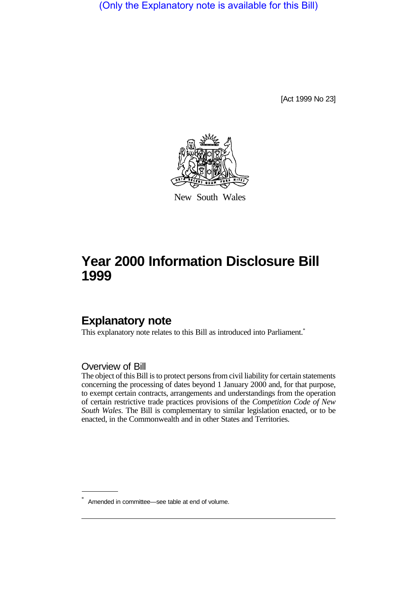(Only the Explanatory note is available for this Bill)

[Act 1999 No 23]



New South Wales

# **Year 2000 Information Disclosure Bill 1999**

# **Explanatory note**

This explanatory note relates to this Bill as introduced into Parliament.<sup>\*</sup>

Overview of Bill

The object of this Bill is to protect persons from civil liability for certain statements concerning the processing of dates beyond 1 January 2000 and, for that purpose, to exempt certain contracts, arrangements and understandings from the operation of certain restrictive trade practices provisions of the *Competition Code of New South Wales*. The Bill is complementary to similar legislation enacted, or to be enacted, in the Commonwealth and in other States and Territories.

<sup>\*</sup> Amended in committee—see table at end of volume.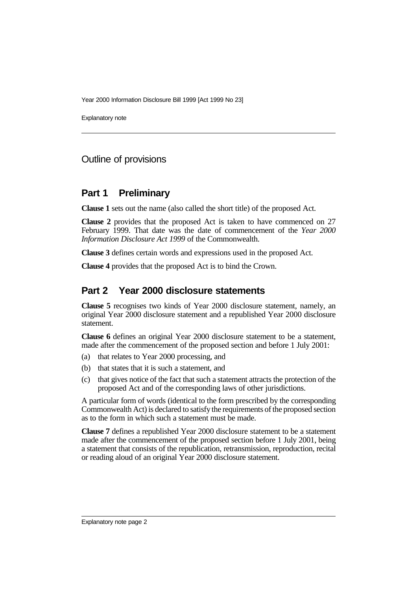Year 2000 Information Disclosure Bill 1999 [Act 1999 No 23]

Explanatory note

### Outline of provisions

#### **Part 1 Preliminary**

**Clause 1** sets out the name (also called the short title) of the proposed Act.

**Clause 2** provides that the proposed Act is taken to have commenced on 27 February 1999. That date was the date of commencement of the *Year 2000 Information Disclosure Act 1999* of the Commonwealth.

**Clause 3** defines certain words and expressions used in the proposed Act.

**Clause 4** provides that the proposed Act is to bind the Crown.

#### **Part 2 Year 2000 disclosure statements**

**Clause 5** recognises two kinds of Year 2000 disclosure statement, namely, an original Year 2000 disclosure statement and a republished Year 2000 disclosure statement.

**Clause 6** defines an original Year 2000 disclosure statement to be a statement, made after the commencement of the proposed section and before 1 July 2001:

- (a) that relates to Year 2000 processing, and
- (b) that states that it is such a statement, and
- (c) that gives notice of the fact that such a statement attracts the protection of the proposed Act and of the corresponding laws of other jurisdictions.

A particular form of words (identical to the form prescribed by the corresponding Commonwealth Act) is declared to satisfy the requirements of the proposed section as to the form in which such a statement must be made.

**Clause 7** defines a republished Year 2000 disclosure statement to be a statement made after the commencement of the proposed section before 1 July 2001, being a statement that consists of the republication, retransmission, reproduction, recital or reading aloud of an original Year 2000 disclosure statement.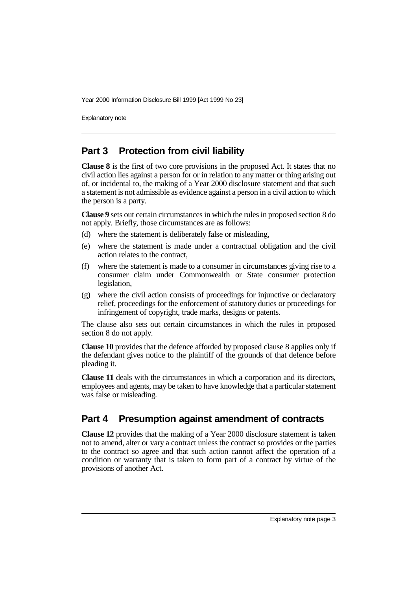Year 2000 Information Disclosure Bill 1999 [Act 1999 No 23]

Explanatory note

## **Part 3 Protection from civil liability**

**Clause 8** is the first of two core provisions in the proposed Act. It states that no civil action lies against a person for or in relation to any matter or thing arising out of, or incidental to, the making of a Year 2000 disclosure statement and that such a statement is not admissible as evidence against a person in a civil action to which the person is a party.

**Clause 9** sets out certain circumstances in which the rules in proposed section 8 do not apply. Briefly, those circumstances are as follows:

- (d) where the statement is deliberately false or misleading,
- (e) where the statement is made under a contractual obligation and the civil action relates to the contract,
- (f) where the statement is made to a consumer in circumstances giving rise to a consumer claim under Commonwealth or State consumer protection legislation,
- (g) where the civil action consists of proceedings for injunctive or declaratory relief, proceedings for the enforcement of statutory duties or proceedings for infringement of copyright, trade marks, designs or patents.

The clause also sets out certain circumstances in which the rules in proposed section 8 do not apply.

**Clause 10** provides that the defence afforded by proposed clause 8 applies only if the defendant gives notice to the plaintiff of the grounds of that defence before pleading it.

**Clause 11** deals with the circumstances in which a corporation and its directors, employees and agents, may be taken to have knowledge that a particular statement was false or misleading.

## **Part 4 Presumption against amendment of contracts**

**Clause 12** provides that the making of a Year 2000 disclosure statement is taken not to amend, alter or vary a contract unless the contract so provides or the parties to the contract so agree and that such action cannot affect the operation of a condition or warranty that is taken to form part of a contract by virtue of the provisions of another Act.